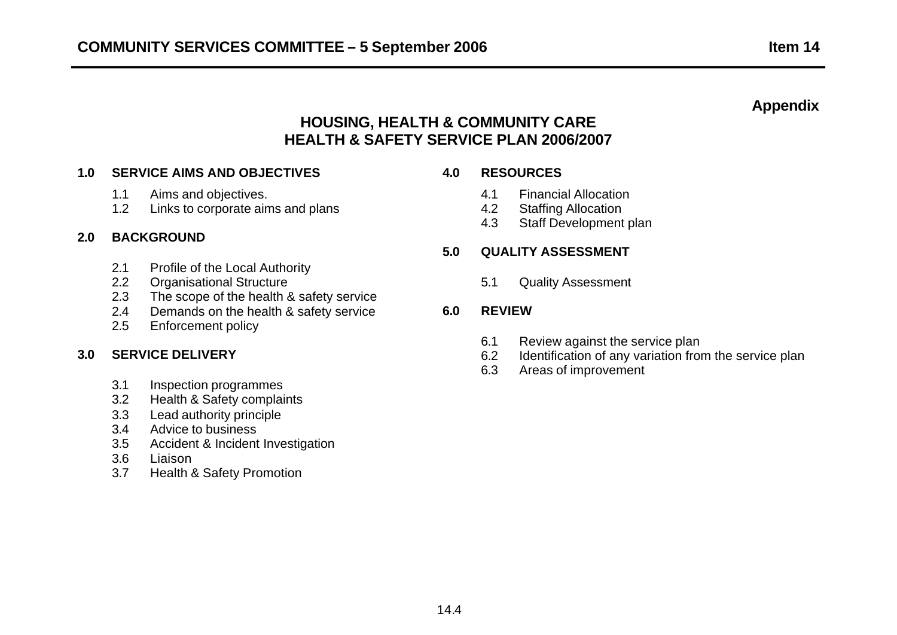# **Appendix**

# **HOUSING, HEALTH & COMMUNITY CARE HEALTH & SAFETY SERVICE PLAN 2006/2007**

## **1.0 SERVICE AIMS AND OBJECTIVES 4.0 RESOURCES**

- 
- 1.2 Links to corporate aims and plans 1.2 Staffing Allocation

# **2.0 BACKGROUND**

- 2.1 Profile of the Local Authority
- 2.2 Organisational Structure 6.1 Cuality Assessment
- 2.3 The scope of the health & safety service
- 2.4 Demands on the health & safety service **6.0 REVIEW**
- 2.5 Enforcement policy

- 3.1 Inspection programmes
- 3.2 Health & Safety complaints
- 3.3 Lead authority principle
- 3.4 Advice to business
- 3.5 Accident & Incident Investigation
- 3.6 Liaison
- 3.7 Health & Safety Promotion

- 1.1 Aims and objectives. 4.1 Financial Allocation
	-
	- 4.3 Staff Development plan

### **5.0 QUALITY ASSESSMENT**

- 6.1 Review against the service plan
- **3.0 SERVICE DELIVERY** 6.2 Identification of any variation from the service plan
	- 6.3 Areas of improvement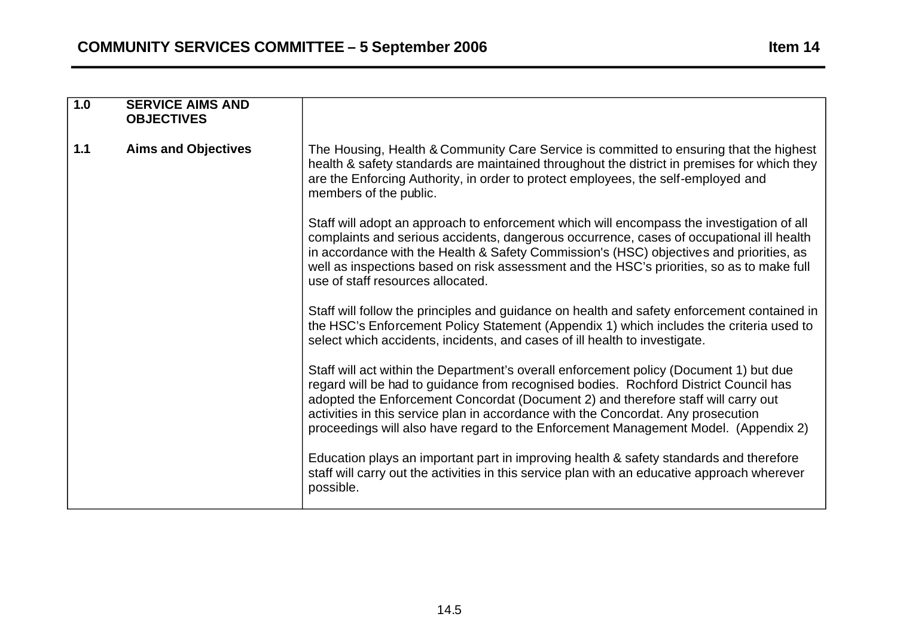| 1.0   | <b>SERVICE AIMS AND</b><br><b>OBJECTIVES</b> |                                                                                                                                                                                                                                                                                                                                                                                                                                                 |
|-------|----------------------------------------------|-------------------------------------------------------------------------------------------------------------------------------------------------------------------------------------------------------------------------------------------------------------------------------------------------------------------------------------------------------------------------------------------------------------------------------------------------|
| $1.1$ | <b>Aims and Objectives</b>                   | The Housing, Health & Community Care Service is committed to ensuring that the highest<br>health & safety standards are maintained throughout the district in premises for which they<br>are the Enforcing Authority, in order to protect employees, the self-employed and<br>members of the public.                                                                                                                                            |
|       |                                              | Staff will adopt an approach to enforcement which will encompass the investigation of all<br>complaints and serious accidents, dangerous occurrence, cases of occupational ill health<br>in accordance with the Health & Safety Commission's (HSC) objectives and priorities, as<br>well as inspections based on risk assessment and the HSC's priorities, so as to make full<br>use of staff resources allocated.                              |
|       |                                              | Staff will follow the principles and guidance on health and safety enforcement contained in<br>the HSC's Enforcement Policy Statement (Appendix 1) which includes the criteria used to<br>select which accidents, incidents, and cases of ill health to investigate.                                                                                                                                                                            |
|       |                                              | Staff will act within the Department's overall enforcement policy (Document 1) but due<br>regard will be had to guidance from recognised bodies. Rochford District Council has<br>adopted the Enforcement Concordat (Document 2) and therefore staff will carry out<br>activities in this service plan in accordance with the Concordat. Any prosecution<br>proceedings will also have regard to the Enforcement Management Model. (Appendix 2) |
|       |                                              | Education plays an important part in improving health & safety standards and therefore<br>staff will carry out the activities in this service plan with an educative approach wherever<br>possible.                                                                                                                                                                                                                                             |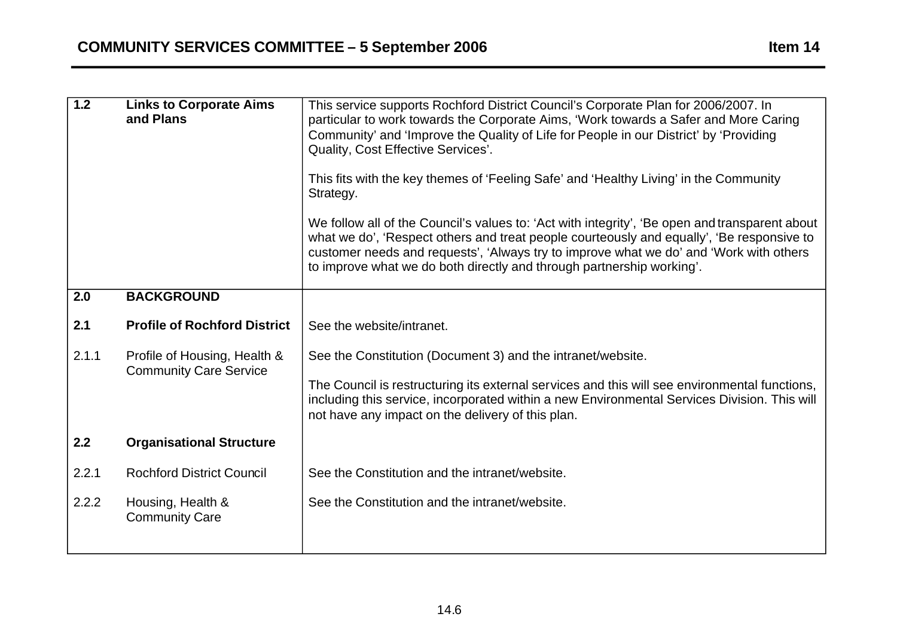| 1.2   | <b>Links to Corporate Aims</b><br>and Plans | This service supports Rochford District Council's Corporate Plan for 2006/2007. In<br>particular to work towards the Corporate Aims, 'Work towards a Safer and More Caring<br>Community' and 'Improve the Quality of Life for People in our District' by 'Providing<br>Quality, Cost Effective Services'.<br>This fits with the key themes of 'Feeling Safe' and 'Healthy Living' in the Community<br>Strategy.<br>We follow all of the Council's values to: 'Act with integrity', 'Be open and transparent about<br>what we do', 'Respect others and treat people courteously and equally', 'Be responsive to<br>customer needs and requests', 'Always try to improve what we do' and 'Work with others<br>to improve what we do both directly and through partnership working'. |
|-------|---------------------------------------------|-----------------------------------------------------------------------------------------------------------------------------------------------------------------------------------------------------------------------------------------------------------------------------------------------------------------------------------------------------------------------------------------------------------------------------------------------------------------------------------------------------------------------------------------------------------------------------------------------------------------------------------------------------------------------------------------------------------------------------------------------------------------------------------|
|       |                                             |                                                                                                                                                                                                                                                                                                                                                                                                                                                                                                                                                                                                                                                                                                                                                                                   |
| 2.0   | <b>BACKGROUND</b>                           |                                                                                                                                                                                                                                                                                                                                                                                                                                                                                                                                                                                                                                                                                                                                                                                   |
| 2.1   | <b>Profile of Rochford District</b>         | See the website/intranet.                                                                                                                                                                                                                                                                                                                                                                                                                                                                                                                                                                                                                                                                                                                                                         |
| 2.1.1 | Profile of Housing, Health &                | See the Constitution (Document 3) and the intranet/website.                                                                                                                                                                                                                                                                                                                                                                                                                                                                                                                                                                                                                                                                                                                       |
|       | <b>Community Care Service</b>               | The Council is restructuring its external services and this will see environmental functions,<br>including this service, incorporated within a new Environmental Services Division. This will<br>not have any impact on the delivery of this plan.                                                                                                                                                                                                                                                                                                                                                                                                                                                                                                                                |
| 2.2   | <b>Organisational Structure</b>             |                                                                                                                                                                                                                                                                                                                                                                                                                                                                                                                                                                                                                                                                                                                                                                                   |
| 2.2.1 | <b>Rochford District Council</b>            | See the Constitution and the intranet/website.                                                                                                                                                                                                                                                                                                                                                                                                                                                                                                                                                                                                                                                                                                                                    |
| 2.2.2 | Housing, Health &<br><b>Community Care</b>  | See the Constitution and the intranet/website.                                                                                                                                                                                                                                                                                                                                                                                                                                                                                                                                                                                                                                                                                                                                    |
|       |                                             |                                                                                                                                                                                                                                                                                                                                                                                                                                                                                                                                                                                                                                                                                                                                                                                   |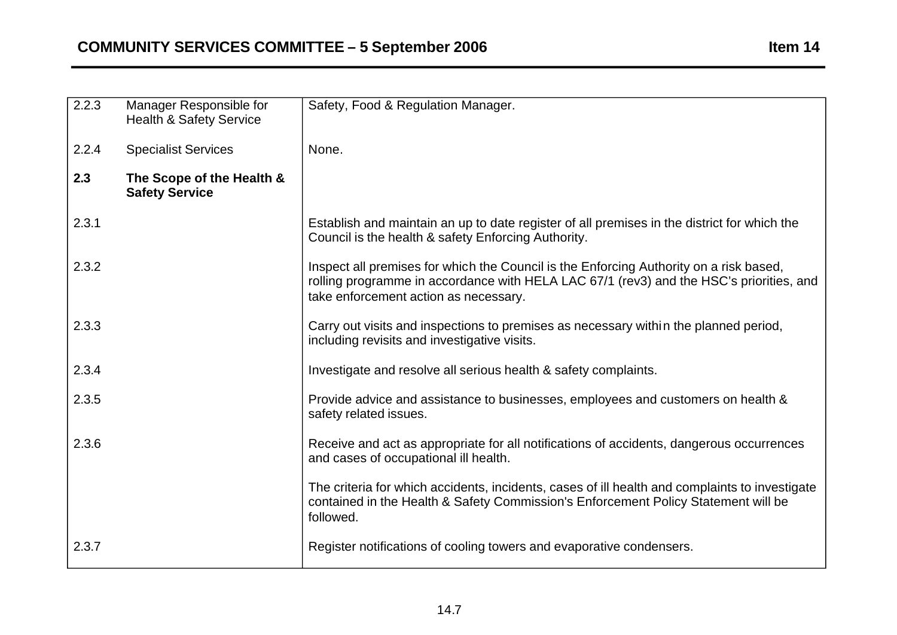| 2.2.3 | Manager Responsible for<br><b>Health &amp; Safety Service</b> | Safety, Food & Regulation Manager.                                                                                                                                                                                         |
|-------|---------------------------------------------------------------|----------------------------------------------------------------------------------------------------------------------------------------------------------------------------------------------------------------------------|
| 2.2.4 | <b>Specialist Services</b>                                    | None.                                                                                                                                                                                                                      |
| 2.3   | The Scope of the Health &<br><b>Safety Service</b>            |                                                                                                                                                                                                                            |
| 2.3.1 |                                                               | Establish and maintain an up to date register of all premises in the district for which the<br>Council is the health & safety Enforcing Authority.                                                                         |
| 2.3.2 |                                                               | Inspect all premises for which the Council is the Enforcing Authority on a risk based,<br>rolling programme in accordance with HELA LAC 67/1 (rev3) and the HSC's priorities, and<br>take enforcement action as necessary. |
| 2.3.3 |                                                               | Carry out visits and inspections to premises as necessary within the planned period,<br>including revisits and investigative visits.                                                                                       |
| 2.3.4 |                                                               | Investigate and resolve all serious health & safety complaints.                                                                                                                                                            |
| 2.3.5 |                                                               | Provide advice and assistance to businesses, employees and customers on health &<br>safety related issues.                                                                                                                 |
| 2.3.6 |                                                               | Receive and act as appropriate for all notifications of accidents, dangerous occurrences<br>and cases of occupational ill health.                                                                                          |
|       |                                                               | The criteria for which accidents, incidents, cases of ill health and complaints to investigate<br>contained in the Health & Safety Commission's Enforcement Policy Statement will be<br>followed.                          |
| 2.3.7 |                                                               | Register notifications of cooling towers and evaporative condensers.                                                                                                                                                       |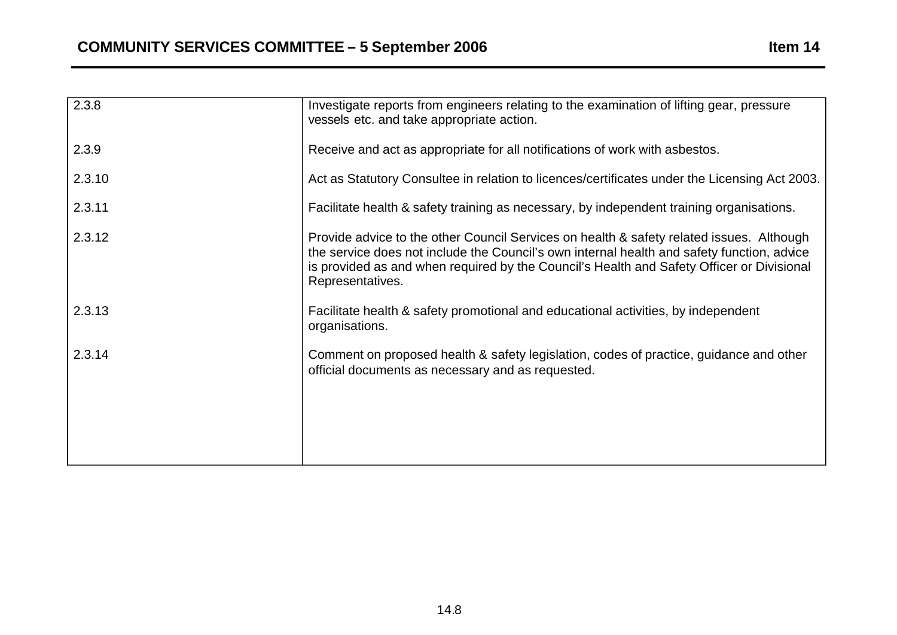| 2.3.8  | Investigate reports from engineers relating to the examination of lifting gear, pressure<br>vessels etc. and take appropriate action.                                                                                                                                                                   |
|--------|---------------------------------------------------------------------------------------------------------------------------------------------------------------------------------------------------------------------------------------------------------------------------------------------------------|
| 2.3.9  | Receive and act as appropriate for all notifications of work with asbestos.                                                                                                                                                                                                                             |
| 2.3.10 | Act as Statutory Consultee in relation to licences/certificates under the Licensing Act 2003.                                                                                                                                                                                                           |
| 2.3.11 | Facilitate health & safety training as necessary, by independent training organisations.                                                                                                                                                                                                                |
| 2.3.12 | Provide advice to the other Council Services on health & safety related issues. Although<br>the service does not include the Council's own internal health and safety function, advice<br>is provided as and when required by the Council's Health and Safety Officer or Divisional<br>Representatives. |
| 2.3.13 | Facilitate health & safety promotional and educational activities, by independent<br>organisations.                                                                                                                                                                                                     |
| 2.3.14 | Comment on proposed health & safety legislation, codes of practice, guidance and other<br>official documents as necessary and as requested.                                                                                                                                                             |
|        |                                                                                                                                                                                                                                                                                                         |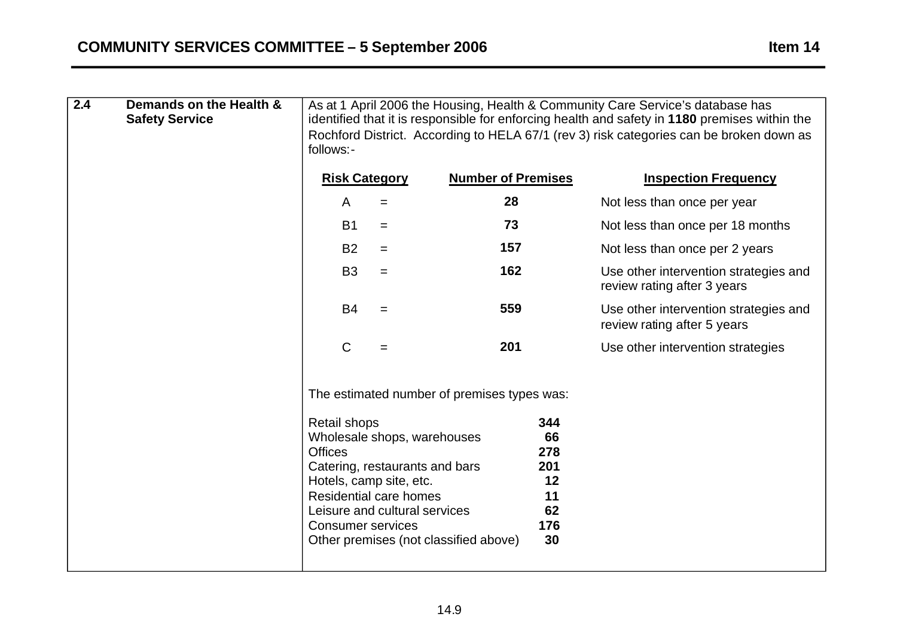| $\overline{2.4}$ | Demands on the Health &<br><b>Safety Service</b> | As at 1 April 2006 the Housing, Health & Community Care Service's database has<br>identified that it is responsible for enforcing health and safety in 1180 premises within the<br>Rochford District. According to HELA 67/1 (rev 3) risk categories can be broken down as<br>follows:- |                                                                                                                                 |                                             |                                                        |                                                                      |  |
|------------------|--------------------------------------------------|-----------------------------------------------------------------------------------------------------------------------------------------------------------------------------------------------------------------------------------------------------------------------------------------|---------------------------------------------------------------------------------------------------------------------------------|---------------------------------------------|--------------------------------------------------------|----------------------------------------------------------------------|--|
|                  |                                                  | <b>Risk Category</b>                                                                                                                                                                                                                                                                    |                                                                                                                                 | <b>Number of Premises</b>                   |                                                        | <b>Inspection Frequency</b>                                          |  |
|                  |                                                  | A                                                                                                                                                                                                                                                                                       | $=$                                                                                                                             | 28                                          |                                                        | Not less than once per year                                          |  |
|                  |                                                  | <b>B1</b>                                                                                                                                                                                                                                                                               | $=$                                                                                                                             | 73                                          |                                                        | Not less than once per 18 months                                     |  |
|                  |                                                  | <b>B2</b>                                                                                                                                                                                                                                                                               | $=$                                                                                                                             | 157                                         |                                                        | Not less than once per 2 years                                       |  |
|                  |                                                  | B <sub>3</sub>                                                                                                                                                                                                                                                                          | $=$                                                                                                                             | 162                                         |                                                        | Use other intervention strategies and<br>review rating after 3 years |  |
|                  |                                                  | <b>B4</b>                                                                                                                                                                                                                                                                               | $=$                                                                                                                             | 559                                         |                                                        | Use other intervention strategies and<br>review rating after 5 years |  |
|                  |                                                  | $\mathsf C$                                                                                                                                                                                                                                                                             | $=$                                                                                                                             | 201                                         |                                                        | Use other intervention strategies                                    |  |
|                  |                                                  |                                                                                                                                                                                                                                                                                         |                                                                                                                                 | The estimated number of premises types was: |                                                        |                                                                      |  |
|                  |                                                  | <b>Retail shops</b><br><b>Offices</b><br>Hotels, camp site, etc.<br><b>Consumer services</b>                                                                                                                                                                                            | Wholesale shops, warehouses<br>Catering, restaurants and bars<br><b>Residential care homes</b><br>Leisure and cultural services | Other premises (not classified above)       | 344<br>66<br>278<br>201<br>12<br>11<br>62<br>176<br>30 |                                                                      |  |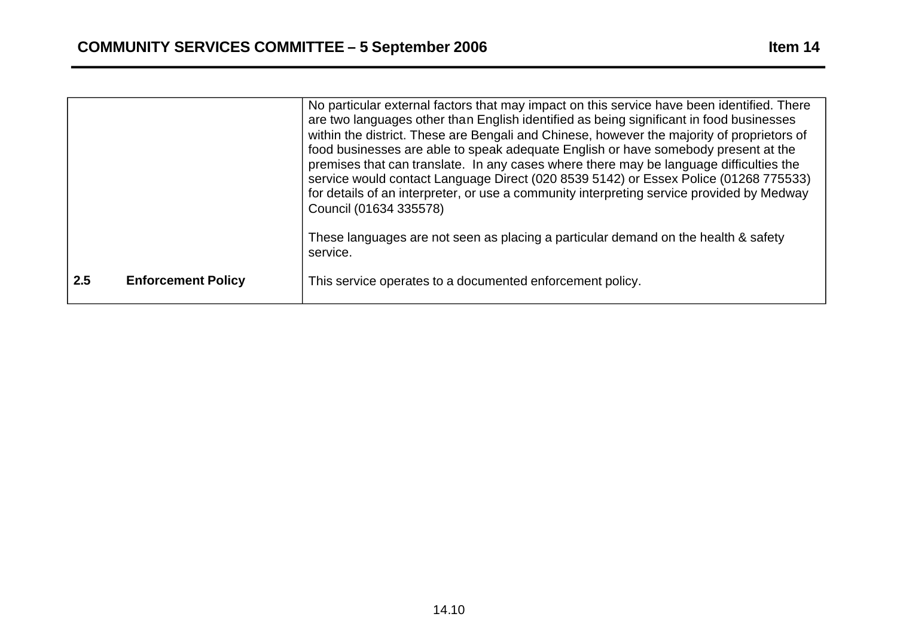|     |                           | No particular external factors that may impact on this service have been identified. There<br>are two languages other than English identified as being significant in food businesses<br>within the district. These are Bengali and Chinese, however the majority of proprietors of<br>food businesses are able to speak adequate English or have somebody present at the<br>premises that can translate. In any cases where there may be language difficulties the<br>service would contact Language Direct (020 8539 5142) or Essex Police (01268 775533)<br>for details of an interpreter, or use a community interpreting service provided by Medway<br>Council (01634 335578) |
|-----|---------------------------|------------------------------------------------------------------------------------------------------------------------------------------------------------------------------------------------------------------------------------------------------------------------------------------------------------------------------------------------------------------------------------------------------------------------------------------------------------------------------------------------------------------------------------------------------------------------------------------------------------------------------------------------------------------------------------|
|     |                           | These languages are not seen as placing a particular demand on the health & safety<br>service.                                                                                                                                                                                                                                                                                                                                                                                                                                                                                                                                                                                     |
| 2.5 | <b>Enforcement Policy</b> | This service operates to a documented enforcement policy.                                                                                                                                                                                                                                                                                                                                                                                                                                                                                                                                                                                                                          |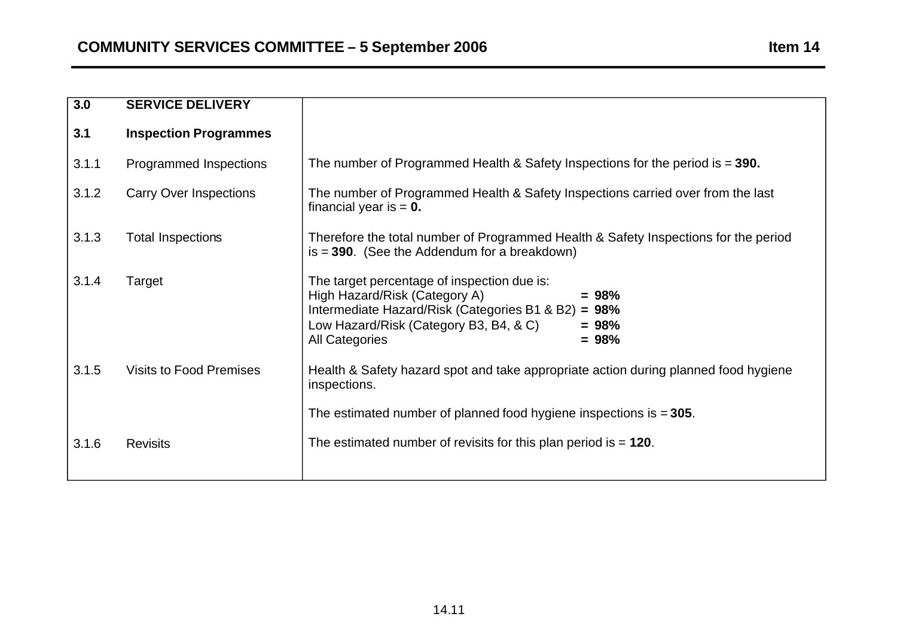| 3.0   | <b>SERVICE DELIVERY</b>        |                                                                                                                                                                                                                                         |
|-------|--------------------------------|-----------------------------------------------------------------------------------------------------------------------------------------------------------------------------------------------------------------------------------------|
| 3.1   | <b>Inspection Programmes</b>   |                                                                                                                                                                                                                                         |
| 3.1.1 | Programmed Inspections         | The number of Programmed Health & Safety Inspections for the period is $= 390$ .                                                                                                                                                        |
| 3.1.2 | <b>Carry Over Inspections</b>  | The number of Programmed Health & Safety Inspections carried over from the last<br>financial year is $= 0$ .                                                                                                                            |
| 3.1.3 | <b>Total Inspections</b>       | Therefore the total number of Programmed Health & Safety Inspections for the period<br>$is = 390$ . (See the Addendum for a breakdown)                                                                                                  |
| 3.1.4 | Target                         | The target percentage of inspection due is:<br>High Hazard/Risk (Category A)<br>$= 98%$<br>Intermediate Hazard/Risk (Categories B1 & B2) = 98%<br>Low Hazard/Risk (Category B3, B4, & C)<br>$= 98%$<br>$= 98%$<br><b>All Categories</b> |
| 3.1.5 | <b>Visits to Food Premises</b> | Health & Safety hazard spot and take appropriate action during planned food hygiene<br>inspections.                                                                                                                                     |
|       |                                | The estimated number of planned food hygiene inspections is $= 305$ .                                                                                                                                                                   |
| 3.1.6 | <b>Revisits</b>                | The estimated number of revisits for this plan period is $= 120$ .                                                                                                                                                                      |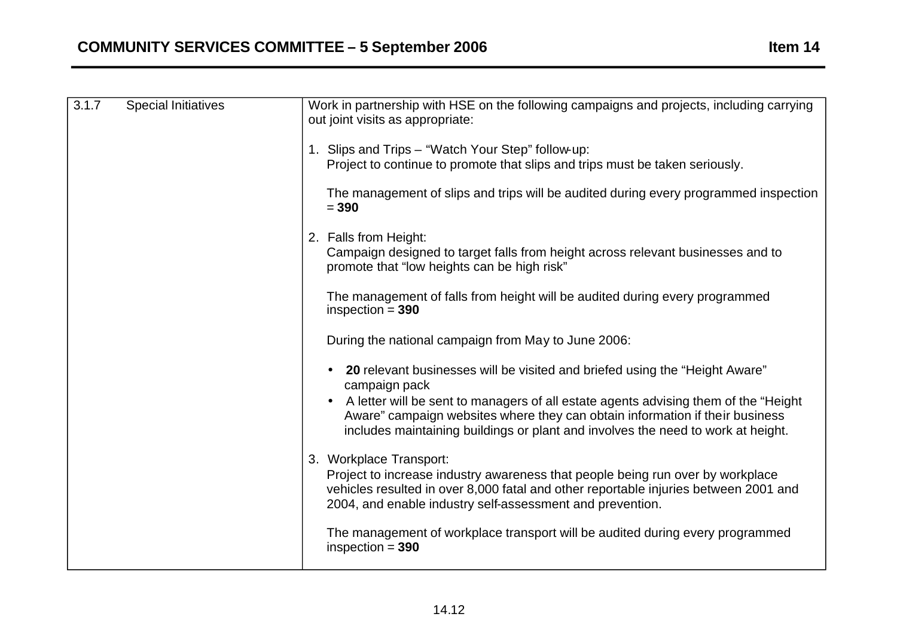| 3.1.7 | <b>Special Initiatives</b> | Work in partnership with HSE on the following campaigns and projects, including carrying<br>out joint visits as appropriate:                                                                                                                                   |
|-------|----------------------------|----------------------------------------------------------------------------------------------------------------------------------------------------------------------------------------------------------------------------------------------------------------|
|       |                            | 1. Slips and Trips - "Watch Your Step" follow-up:<br>Project to continue to promote that slips and trips must be taken seriously.                                                                                                                              |
|       |                            | The management of slips and trips will be audited during every programmed inspection<br>$= 390$                                                                                                                                                                |
|       |                            | 2. Falls from Height:<br>Campaign designed to target falls from height across relevant businesses and to<br>promote that "low heights can be high risk"                                                                                                        |
|       |                            | The management of falls from height will be audited during every programmed<br>inspection $= 390$                                                                                                                                                              |
|       |                            | During the national campaign from May to June 2006:                                                                                                                                                                                                            |
|       |                            | 20 relevant businesses will be visited and briefed using the "Height Aware"<br>campaign pack                                                                                                                                                                   |
|       |                            | A letter will be sent to managers of all estate agents advising them of the "Height"<br>Aware" campaign websites where they can obtain information if their business<br>includes maintaining buildings or plant and involves the need to work at height.       |
|       |                            | 3. Workplace Transport:<br>Project to increase industry awareness that people being run over by workplace<br>vehicles resulted in over 8,000 fatal and other reportable injuries between 2001 and<br>2004, and enable industry self-assessment and prevention. |
|       |                            | The management of workplace transport will be audited during every programmed<br>inspection $= 390$                                                                                                                                                            |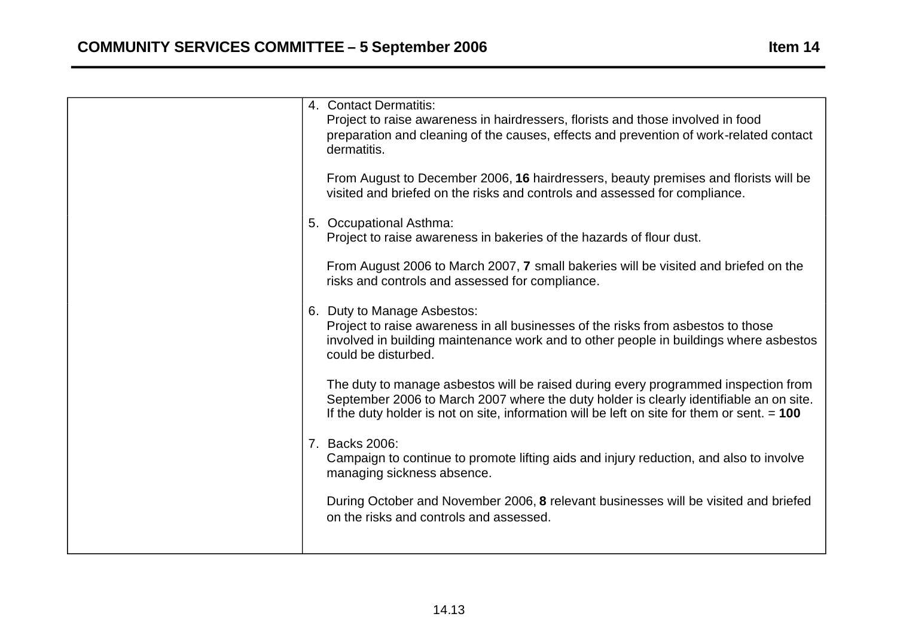|  | 4. Contact Dermatitis:<br>Project to raise awareness in hairdressers, florists and those involved in food<br>preparation and cleaning of the causes, effects and prevention of work-related contact<br>dermatitis.                                                            |
|--|-------------------------------------------------------------------------------------------------------------------------------------------------------------------------------------------------------------------------------------------------------------------------------|
|  | From August to December 2006, 16 hairdressers, beauty premises and florists will be<br>visited and briefed on the risks and controls and assessed for compliance.                                                                                                             |
|  | 5. Occupational Asthma:<br>Project to raise awareness in bakeries of the hazards of flour dust.                                                                                                                                                                               |
|  | From August 2006 to March 2007, 7 small bakeries will be visited and briefed on the<br>risks and controls and assessed for compliance.                                                                                                                                        |
|  | 6. Duty to Manage Asbestos:<br>Project to raise awareness in all businesses of the risks from asbestos to those<br>involved in building maintenance work and to other people in buildings where asbestos<br>could be disturbed.                                               |
|  | The duty to manage asbestos will be raised during every programmed inspection from<br>September 2006 to March 2007 where the duty holder is clearly identifiable an on site.<br>If the duty holder is not on site, information will be left on site for them or sent. $= 100$ |
|  | 7. Backs 2006:<br>Campaign to continue to promote lifting aids and injury reduction, and also to involve<br>managing sickness absence.                                                                                                                                        |
|  | During October and November 2006, 8 relevant businesses will be visited and briefed<br>on the risks and controls and assessed.                                                                                                                                                |
|  |                                                                                                                                                                                                                                                                               |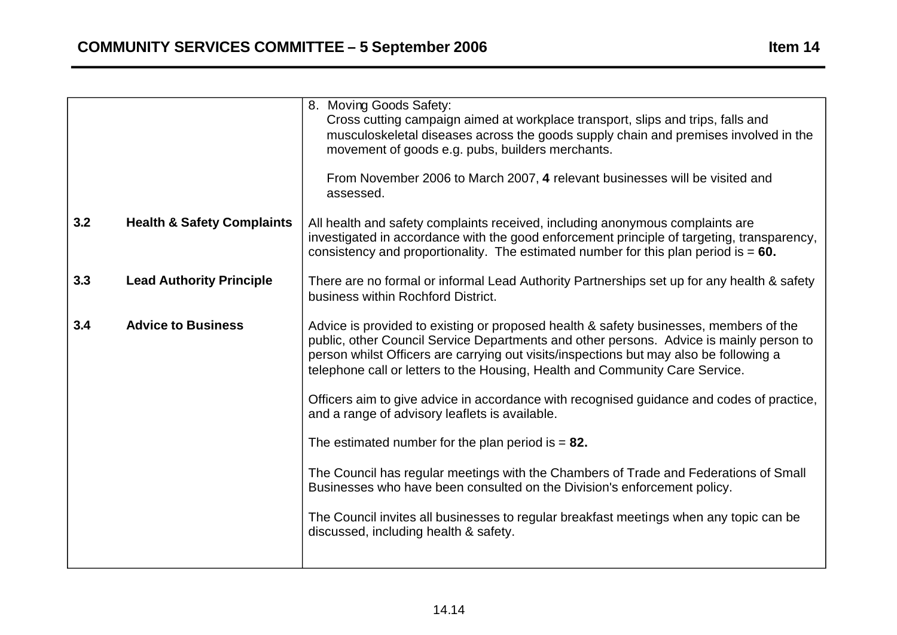|                                       | 8. Moving Goods Safety:<br>Cross cutting campaign aimed at workplace transport, slips and trips, falls and<br>musculoskeletal diseases across the goods supply chain and premises involved in the<br>movement of goods e.g. pubs, builders merchants.                                                                                                      |
|---------------------------------------|------------------------------------------------------------------------------------------------------------------------------------------------------------------------------------------------------------------------------------------------------------------------------------------------------------------------------------------------------------|
|                                       | From November 2006 to March 2007, 4 relevant businesses will be visited and<br>assessed.                                                                                                                                                                                                                                                                   |
| <b>Health &amp; Safety Complaints</b> | All health and safety complaints received, including anonymous complaints are<br>investigated in accordance with the good enforcement principle of targeting, transparency,<br>consistency and proportionality. The estimated number for this plan period is $= 60$ .                                                                                      |
| <b>Lead Authority Principle</b>       | There are no formal or informal Lead Authority Partnerships set up for any health & safety<br>business within Rochford District.                                                                                                                                                                                                                           |
| <b>Advice to Business</b>             | Advice is provided to existing or proposed health & safety businesses, members of the<br>public, other Council Service Departments and other persons. Advice is mainly person to<br>person whilst Officers are carrying out visits/inspections but may also be following a<br>telephone call or letters to the Housing, Health and Community Care Service. |
|                                       | Officers aim to give advice in accordance with recognised guidance and codes of practice,<br>and a range of advisory leaflets is available.                                                                                                                                                                                                                |
|                                       | The estimated number for the plan period is $= 82$ .                                                                                                                                                                                                                                                                                                       |
|                                       | The Council has regular meetings with the Chambers of Trade and Federations of Small<br>Businesses who have been consulted on the Division's enforcement policy.                                                                                                                                                                                           |
|                                       | The Council invites all businesses to regular breakfast meetings when any topic can be<br>discussed, including health & safety.                                                                                                                                                                                                                            |
|                                       |                                                                                                                                                                                                                                                                                                                                                            |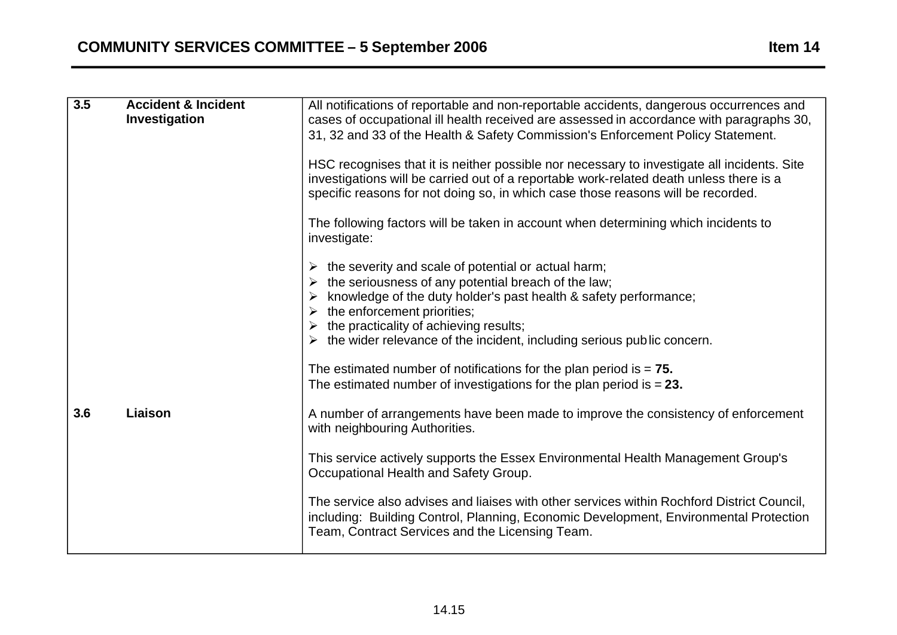| 3.5 | <b>Accident &amp; Incident</b><br>Investigation | All notifications of reportable and non-reportable accidents, dangerous occurrences and<br>cases of occupational ill health received are assessed in accordance with paragraphs 30,<br>31, 32 and 33 of the Health & Safety Commission's Enforcement Policy Statement.<br>HSC recognises that it is neither possible nor necessary to investigate all incidents. Site<br>investigations will be carried out of a reportable work-related death unless there is a<br>specific reasons for not doing so, in which case those reasons will be recorded.<br>The following factors will be taken in account when determining which incidents to<br>investigate: |
|-----|-------------------------------------------------|------------------------------------------------------------------------------------------------------------------------------------------------------------------------------------------------------------------------------------------------------------------------------------------------------------------------------------------------------------------------------------------------------------------------------------------------------------------------------------------------------------------------------------------------------------------------------------------------------------------------------------------------------------|
|     |                                                 | the severity and scale of potential or actual harm;<br>➤<br>the seriousness of any potential breach of the law;<br>➤<br>knowledge of the duty holder's past health & safety performance;<br>➤<br>the enforcement priorities;<br>➤<br>the practicality of achieving results;<br>➤<br>the wider relevance of the incident, including serious public concern.<br>The estimated number of notifications for the plan period is $= 75$ .<br>The estimated number of investigations for the plan period is $= 23$ .                                                                                                                                              |
| 3.6 | Liaison                                         | A number of arrangements have been made to improve the consistency of enforcement<br>with neighbouring Authorities.<br>This service actively supports the Essex Environmental Health Management Group's<br>Occupational Health and Safety Group.<br>The service also advises and liaises with other services within Rochford District Council.<br>including: Building Control, Planning, Economic Development, Environmental Protection<br>Team, Contract Services and the Licensing Team.                                                                                                                                                                 |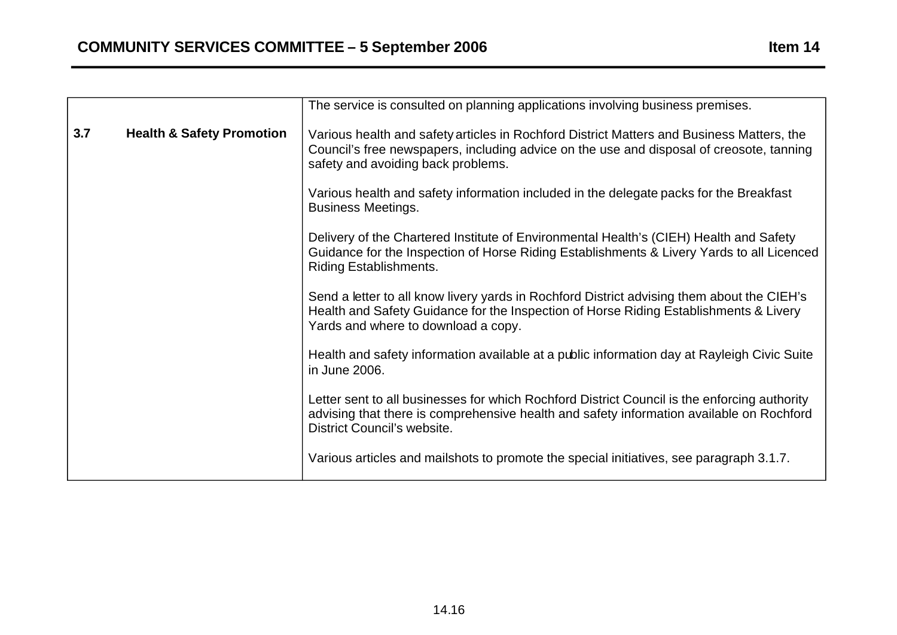**3.7** 

|                                      | The service is consulted on planning applications involving business premises.                                                                                                                                              |
|--------------------------------------|-----------------------------------------------------------------------------------------------------------------------------------------------------------------------------------------------------------------------------|
| <b>Health &amp; Safety Promotion</b> | Various health and safety articles in Rochford District Matters and Business Matters, the<br>Council's free newspapers, including advice on the use and disposal of creosote, tanning<br>safety and avoiding back problems. |
|                                      | Various health and safety information included in the delegate packs for the Breakfast<br><b>Business Meetings.</b>                                                                                                         |

Delivery of the Chartered Institute of Environmental Health's (CIEH) Health and Safety Guidance for the Inspection of Horse Riding Establishments & Livery Yards to all Licenced Riding Establishments.

Send a letter to all know livery yards in Rochford District advising them about the CIEH's Health and Safety Guidance for the Inspection of Horse Riding Establishments & Livery Yards and where to download a copy.

Health and safety information available at a public information day at Rayleigh Civic Suite in June 2006.

Letter sent to all businesses for which Rochford District Council is the enforcing authority advising that there is comprehensive health and safety information available on Rochford District Council's website.

Various articles and mailshots to promote the special initiatives, see paragraph 3.1.7.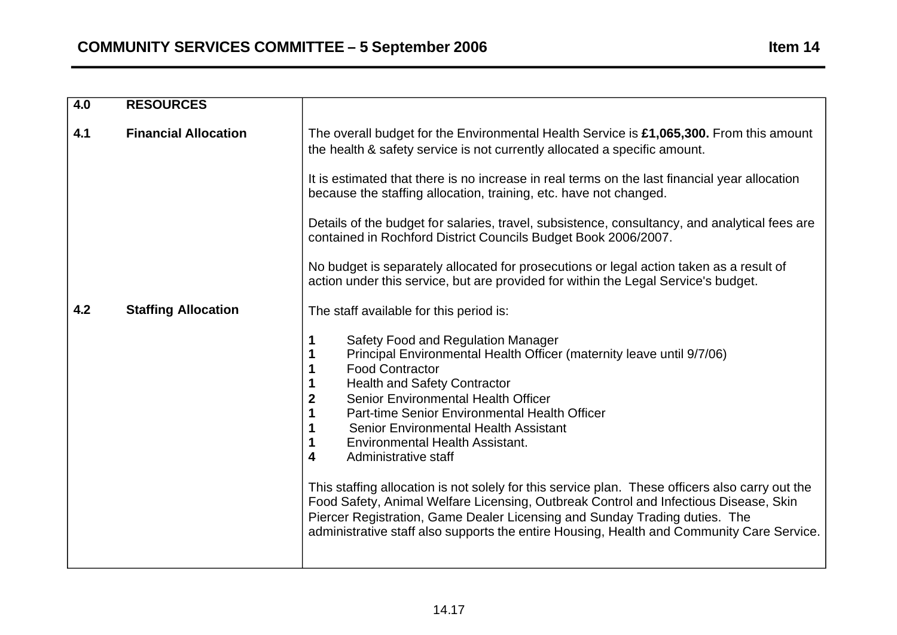| $\overline{4.0}$ | <b>RESOURCES</b>            |                                                                                                                                                                                                                                                                                                                                                                                                                                                                                                                                                                                                                                                                                                                                                                                                                                    |
|------------------|-----------------------------|------------------------------------------------------------------------------------------------------------------------------------------------------------------------------------------------------------------------------------------------------------------------------------------------------------------------------------------------------------------------------------------------------------------------------------------------------------------------------------------------------------------------------------------------------------------------------------------------------------------------------------------------------------------------------------------------------------------------------------------------------------------------------------------------------------------------------------|
| 4.1              | <b>Financial Allocation</b> | The overall budget for the Environmental Health Service is £1,065,300. From this amount<br>the health & safety service is not currently allocated a specific amount.                                                                                                                                                                                                                                                                                                                                                                                                                                                                                                                                                                                                                                                               |
|                  |                             | It is estimated that there is no increase in real terms on the last financial year allocation<br>because the staffing allocation, training, etc. have not changed.                                                                                                                                                                                                                                                                                                                                                                                                                                                                                                                                                                                                                                                                 |
|                  |                             | Details of the budget for salaries, travel, subsistence, consultancy, and analytical fees are<br>contained in Rochford District Councils Budget Book 2006/2007.                                                                                                                                                                                                                                                                                                                                                                                                                                                                                                                                                                                                                                                                    |
|                  |                             | No budget is separately allocated for prosecutions or legal action taken as a result of<br>action under this service, but are provided for within the Legal Service's budget.                                                                                                                                                                                                                                                                                                                                                                                                                                                                                                                                                                                                                                                      |
| 4.2              | <b>Staffing Allocation</b>  | The staff available for this period is:                                                                                                                                                                                                                                                                                                                                                                                                                                                                                                                                                                                                                                                                                                                                                                                            |
|                  |                             | Safety Food and Regulation Manager<br>1<br>Principal Environmental Health Officer (maternity leave until 9/7/06)<br>1<br><b>Food Contractor</b><br>1<br><b>Health and Safety Contractor</b><br>1<br>$\boldsymbol{2}$<br>Senior Environmental Health Officer<br>1<br>Part-time Senior Environmental Health Officer<br><b>Senior Environmental Health Assistant</b><br>1<br>$\mathbf 1$<br><b>Environmental Health Assistant.</b><br>4<br>Administrative staff<br>This staffing allocation is not solely for this service plan. These officers also carry out the<br>Food Safety, Animal Welfare Licensing, Outbreak Control and Infectious Disease, Skin<br>Piercer Registration, Game Dealer Licensing and Sunday Trading duties. The<br>administrative staff also supports the entire Housing, Health and Community Care Service. |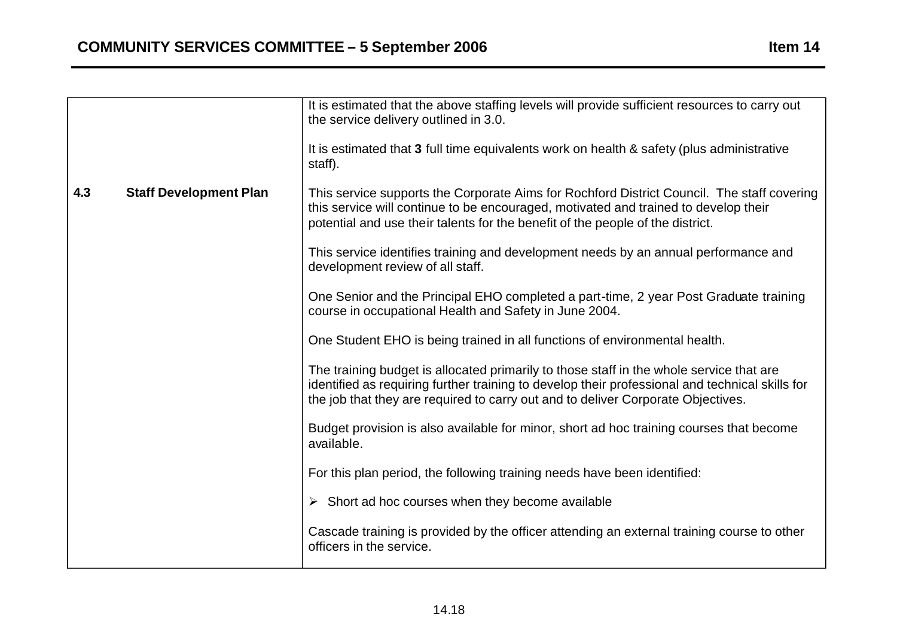|     |                               | It is estimated that the above staffing levels will provide sufficient resources to carry out<br>the service delivery outlined in 3.0.<br>It is estimated that 3 full time equivalents work on health & safety (plus administrative<br>staff).                                 |
|-----|-------------------------------|--------------------------------------------------------------------------------------------------------------------------------------------------------------------------------------------------------------------------------------------------------------------------------|
| 4.3 | <b>Staff Development Plan</b> | This service supports the Corporate Aims for Rochford District Council. The staff covering<br>this service will continue to be encouraged, motivated and trained to develop their<br>potential and use their talents for the benefit of the people of the district.            |
|     |                               | This service identifies training and development needs by an annual performance and<br>development review of all staff.                                                                                                                                                        |
|     |                               | One Senior and the Principal EHO completed a part-time, 2 year Post Graduate training<br>course in occupational Health and Safety in June 2004.                                                                                                                                |
|     |                               | One Student EHO is being trained in all functions of environmental health.                                                                                                                                                                                                     |
|     |                               | The training budget is allocated primarily to those staff in the whole service that are<br>identified as requiring further training to develop their professional and technical skills for<br>the job that they are required to carry out and to deliver Corporate Objectives. |
|     |                               | Budget provision is also available for minor, short ad hoc training courses that become<br>available.                                                                                                                                                                          |
|     |                               | For this plan period, the following training needs have been identified:                                                                                                                                                                                                       |
|     |                               | $\triangleright$ Short ad hoc courses when they become available                                                                                                                                                                                                               |
|     |                               | Cascade training is provided by the officer attending an external training course to other<br>officers in the service.                                                                                                                                                         |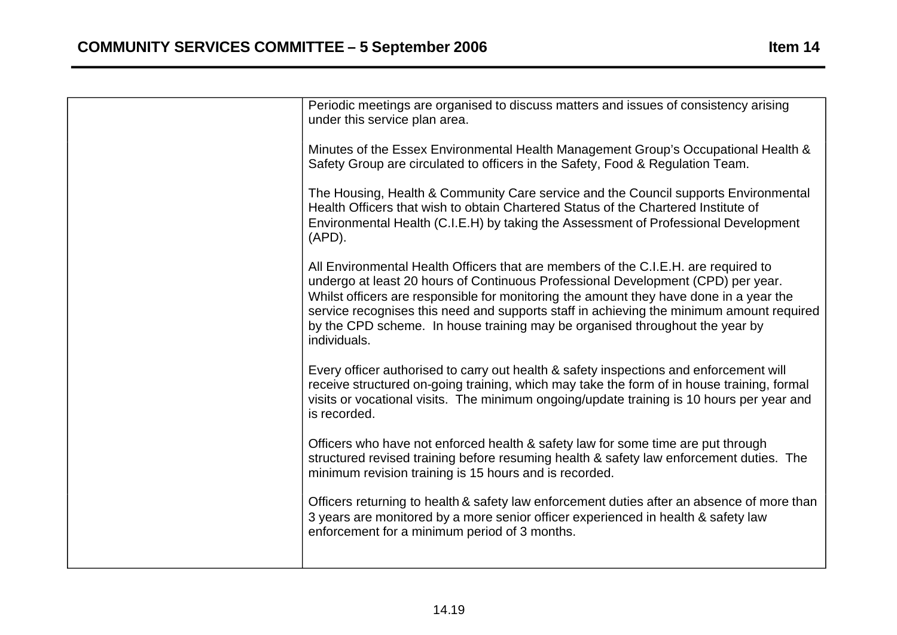| Periodic meetings are organised to discuss matters and issues of consistency arising<br>under this service plan area.                                                                                                                                                                                                                                                                                                                                        |
|--------------------------------------------------------------------------------------------------------------------------------------------------------------------------------------------------------------------------------------------------------------------------------------------------------------------------------------------------------------------------------------------------------------------------------------------------------------|
| Minutes of the Essex Environmental Health Management Group's Occupational Health &<br>Safety Group are circulated to officers in the Safety, Food & Regulation Team.                                                                                                                                                                                                                                                                                         |
| The Housing, Health & Community Care service and the Council supports Environmental<br>Health Officers that wish to obtain Chartered Status of the Chartered Institute of<br>Environmental Health (C.I.E.H) by taking the Assessment of Professional Development<br>$(APD)$ .                                                                                                                                                                                |
| All Environmental Health Officers that are members of the C.I.E.H. are required to<br>undergo at least 20 hours of Continuous Professional Development (CPD) per year.<br>Whilst officers are responsible for monitoring the amount they have done in a year the<br>service recognises this need and supports staff in achieving the minimum amount required<br>by the CPD scheme. In house training may be organised throughout the year by<br>individuals. |
| Every officer authorised to carry out health & safety inspections and enforcement will<br>receive structured on-going training, which may take the form of in house training, formal<br>visits or vocational visits. The minimum ongoing/update training is 10 hours per year and<br>is recorded.                                                                                                                                                            |
| Officers who have not enforced health & safety law for some time are put through<br>structured revised training before resuming health & safety law enforcement duties. The<br>minimum revision training is 15 hours and is recorded.                                                                                                                                                                                                                        |
| Officers returning to health & safety law enforcement duties after an absence of more than<br>3 years are monitored by a more senior officer experienced in health & safety law<br>enforcement for a minimum period of 3 months.                                                                                                                                                                                                                             |
|                                                                                                                                                                                                                                                                                                                                                                                                                                                              |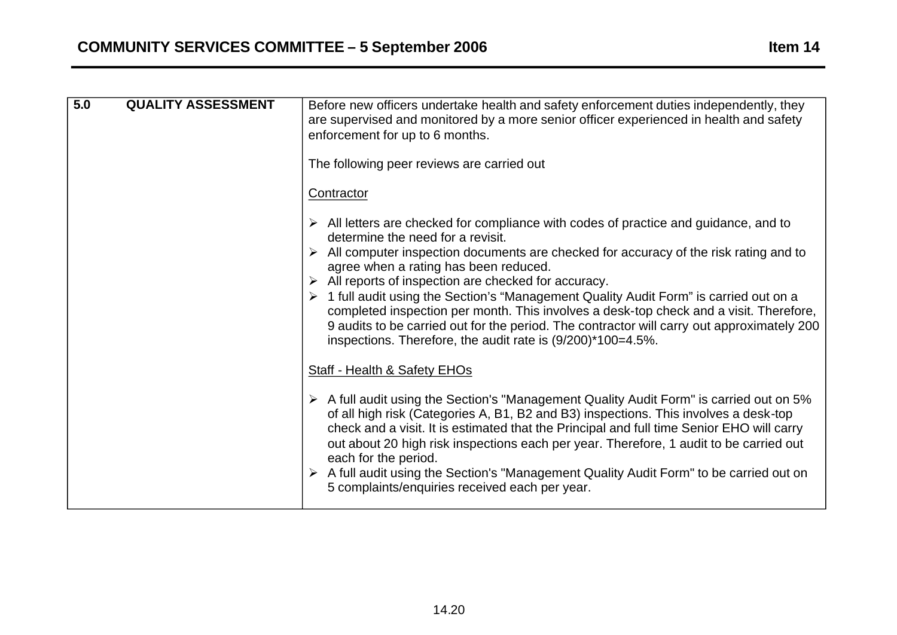**5.0** 

| <b>QUALITY ASSESSMENT</b> | Before new officers undertake health and safety enforcement duties independently, they<br>are supervised and monitored by a more senior officer experienced in health and safety<br>enforcement for up to 6 months. |
|---------------------------|---------------------------------------------------------------------------------------------------------------------------------------------------------------------------------------------------------------------|
|                           | The following peer reviews are carried out                                                                                                                                                                          |
|                           | Contractor                                                                                                                                                                                                          |
|                           | All letters are checked for compliance with codes of practice and guidance, and to<br>determine the need for a revisit.                                                                                             |

- $\triangleright$  All computer inspection documents are checked for accuracy of the risk rating and to agree when a rating has been reduced.
- $\triangleright$  All reports of inspection are checked for accuracy.
- � 1 full audit using the Section's "Management Quality Audit Form" is carried out on a completed inspection per month. This involves a desk-top check and a visit. Therefore, 9 audits to be carried out for the period. The contractor will carry out approximately 200 inspections. Therefore, the audit rate is (9/200)\*100=4.5%.

### Staff - Health & Safety EHOs

- $\triangleright$  A full audit using the Section's "Management Quality Audit Form" is carried out on 5% of all high risk (Categories A, B1, B2 and B3) inspections. This involves a desk-top check and a visit. It is estimated that the Principal and full time Senior EHO will carry out about 20 high risk inspections each per year. Therefore, 1 audit to be carried out each for the period.
- � A full audit using the Section's "Management Quality Audit Form" to be carried out on 5 complaints/enquiries received each per year.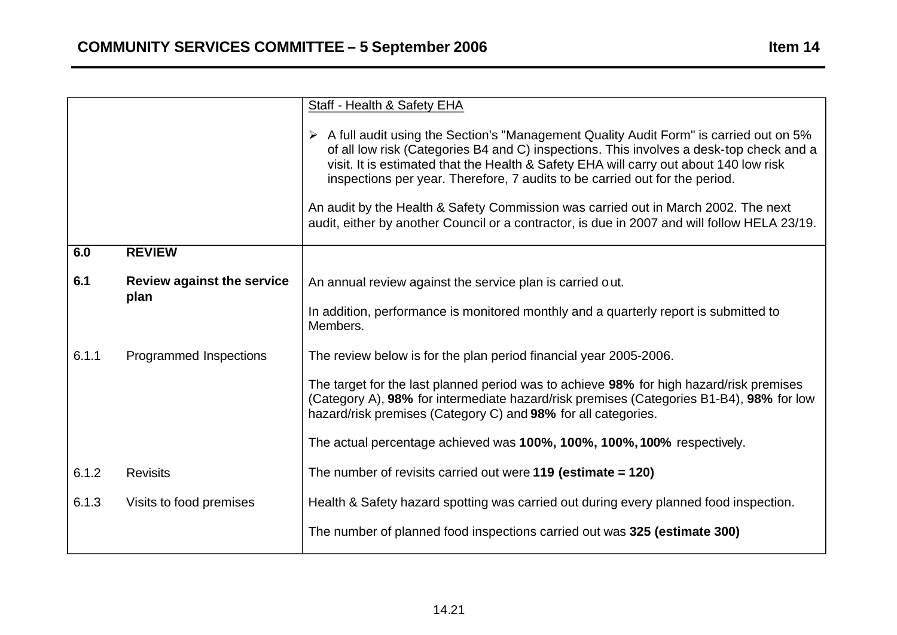|       |                                           | Staff - Health & Safety EHA                                                                                                                                                                                                                                                                                                                                               |
|-------|-------------------------------------------|---------------------------------------------------------------------------------------------------------------------------------------------------------------------------------------------------------------------------------------------------------------------------------------------------------------------------------------------------------------------------|
|       |                                           | $\triangleright$ A full audit using the Section's "Management Quality Audit Form" is carried out on 5%<br>of all low risk (Categories B4 and C) inspections. This involves a desk-top check and a<br>visit. It is estimated that the Health & Safety EHA will carry out about 140 low risk<br>inspections per year. Therefore, 7 audits to be carried out for the period. |
|       |                                           | An audit by the Health & Safety Commission was carried out in March 2002. The next<br>audit, either by another Council or a contractor, is due in 2007 and will follow HELA 23/19.                                                                                                                                                                                        |
| 6.0   | <b>REVIEW</b>                             |                                                                                                                                                                                                                                                                                                                                                                           |
| 6.1   | <b>Review against the service</b><br>plan | An annual review against the service plan is carried out.                                                                                                                                                                                                                                                                                                                 |
|       |                                           | In addition, performance is monitored monthly and a quarterly report is submitted to<br>Members.                                                                                                                                                                                                                                                                          |
| 6.1.1 | Programmed Inspections                    | The review below is for the plan period financial year 2005-2006.                                                                                                                                                                                                                                                                                                         |
|       |                                           | The target for the last planned period was to achieve 98% for high hazard/risk premises<br>(Category A), 98% for intermediate hazard/risk premises (Categories B1-B4), 98% for low<br>hazard/risk premises (Category C) and 98% for all categories.                                                                                                                       |
|       |                                           | The actual percentage achieved was 100%, 100%, 100%, 100% respectively.                                                                                                                                                                                                                                                                                                   |
| 6.1.2 | <b>Revisits</b>                           | The number of revisits carried out were $119$ (estimate = $120$ )                                                                                                                                                                                                                                                                                                         |
| 6.1.3 | Visits to food premises                   | Health & Safety hazard spotting was carried out during every planned food inspection.                                                                                                                                                                                                                                                                                     |
|       |                                           | The number of planned food inspections carried out was 325 (estimate 300)                                                                                                                                                                                                                                                                                                 |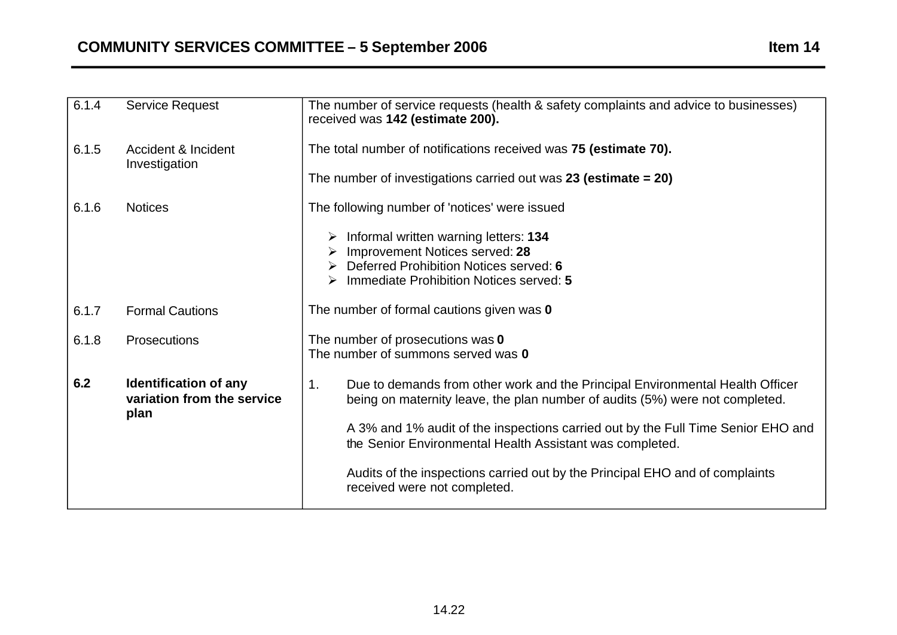| 6.1.4 | <b>Service Request</b>                                             | The number of service requests (health & safety complaints and advice to businesses)<br>received was 142 (estimate 200).                                                                                                                                                                                                                                                                                                            |
|-------|--------------------------------------------------------------------|-------------------------------------------------------------------------------------------------------------------------------------------------------------------------------------------------------------------------------------------------------------------------------------------------------------------------------------------------------------------------------------------------------------------------------------|
| 6.1.5 | <b>Accident &amp; Incident</b><br>Investigation                    | The total number of notifications received was 75 (estimate 70).<br>The number of investigations carried out was 23 (estimate $= 20$ )                                                                                                                                                                                                                                                                                              |
| 6.1.6 | <b>Notices</b>                                                     | The following number of 'notices' were issued<br>Informal written warning letters: 134<br>Improvement Notices served: 28<br>Deferred Prohibition Notices served: 6<br>Immediate Prohibition Notices served: 5<br>➤                                                                                                                                                                                                                  |
| 6.1.7 | <b>Formal Cautions</b>                                             | The number of formal cautions given was 0                                                                                                                                                                                                                                                                                                                                                                                           |
| 6.1.8 | Prosecutions                                                       | The number of prosecutions was 0<br>The number of summons served was 0                                                                                                                                                                                                                                                                                                                                                              |
| 6.2   | <b>Identification of any</b><br>variation from the service<br>plan | Due to demands from other work and the Principal Environmental Health Officer<br>1.<br>being on maternity leave, the plan number of audits (5%) were not completed.<br>A 3% and 1% audit of the inspections carried out by the Full Time Senior EHO and<br>the Senior Environmental Health Assistant was completed.<br>Audits of the inspections carried out by the Principal EHO and of complaints<br>received were not completed. |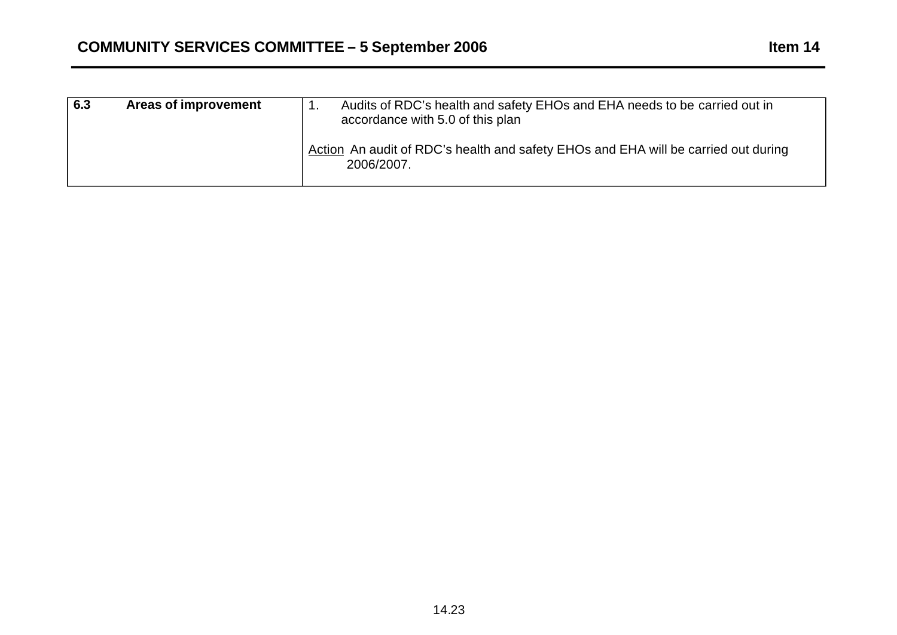| 6.3 | Areas of improvement | Audits of RDC's health and safety EHOs and EHA needs to be carried out in<br>accordance with 5.0 of this plan |
|-----|----------------------|---------------------------------------------------------------------------------------------------------------|
|     |                      | Action An audit of RDC's health and safety EHOs and EHA will be carried out during<br>2006/2007.              |